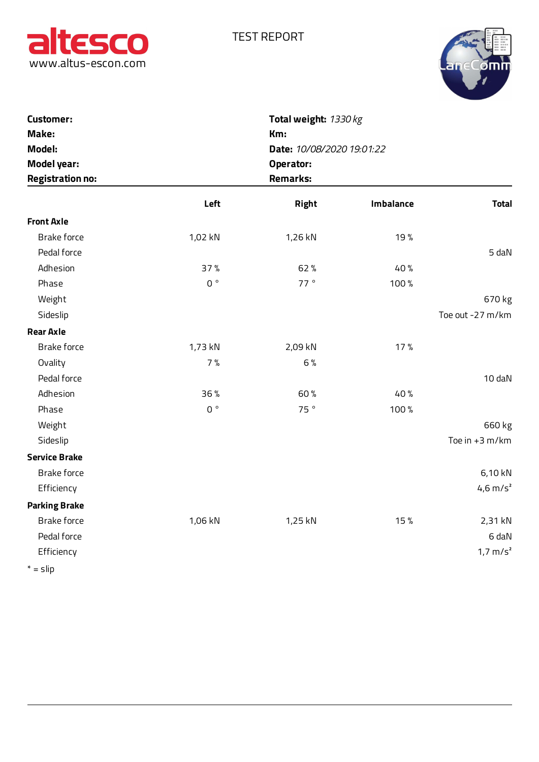



| altesco<br>www.altus-escon.com                                                       |                | <b>TEST REPORT</b><br>Total weight: 1330 kg<br>Km:<br>Date: 10/08/2020 19:01:22<br>Operator:<br><b>Remarks:</b> |           |                       |  |  |
|--------------------------------------------------------------------------------------|----------------|-----------------------------------------------------------------------------------------------------------------|-----------|-----------------------|--|--|
| <b>Customer:</b><br>Make:<br>Model:<br><b>Model year:</b><br><b>Registration no:</b> |                |                                                                                                                 |           |                       |  |  |
|                                                                                      | Left           | Right                                                                                                           | Imbalance | <b>Total</b>          |  |  |
| <b>Front Axle</b>                                                                    |                |                                                                                                                 |           |                       |  |  |
| Brake force                                                                          | 1,02 kN        | 1,26 kN                                                                                                         | 19%       |                       |  |  |
| Pedal force                                                                          |                |                                                                                                                 |           | 5 daN                 |  |  |
| Adhesion                                                                             | 37%            | 62%                                                                                                             | 40%       |                       |  |  |
| Phase                                                                                | $0o$           | 77°                                                                                                             | 100%      |                       |  |  |
| Weight                                                                               |                |                                                                                                                 |           | 670 kg                |  |  |
| Sideslip                                                                             |                |                                                                                                                 |           | Toe out -27 m/km      |  |  |
| <b>Rear Axle</b>                                                                     |                |                                                                                                                 |           |                       |  |  |
| Brake force                                                                          | 1,73 kN        | 2,09 kN                                                                                                         | 17%       |                       |  |  |
| Ovality                                                                              | 7%             | 6%                                                                                                              |           |                       |  |  |
| Pedal force                                                                          |                |                                                                                                                 |           | 10 daN                |  |  |
| Adhesion                                                                             | 36%            | 60%                                                                                                             | 40%       |                       |  |  |
| Phase                                                                                | $0$ $^{\circ}$ | 75°                                                                                                             | 100%      |                       |  |  |
| Weight                                                                               |                |                                                                                                                 |           | 660 kg                |  |  |
| Sideslip                                                                             |                |                                                                                                                 |           | Toe in $+3$ m/km      |  |  |
| <b>Service Brake</b>                                                                 |                |                                                                                                                 |           |                       |  |  |
| <b>Brake force</b>                                                                   |                |                                                                                                                 |           | 6,10 kN               |  |  |
| Efficiency                                                                           |                |                                                                                                                 |           | $4,6 \, \text{m/s}^2$ |  |  |
| <b>Parking Brake</b>                                                                 |                |                                                                                                                 |           |                       |  |  |
| Brake force                                                                          | 1,06 kN        | 1,25 kN                                                                                                         | 15%       | 2,31 kN               |  |  |
| Pedal force                                                                          |                |                                                                                                                 |           | 6 daN                 |  |  |
| Efficiency                                                                           |                |                                                                                                                 |           | $1,7 \text{ m/s}^2$   |  |  |
| $* = \mathsf{slip}$                                                                  |                |                                                                                                                 |           |                       |  |  |